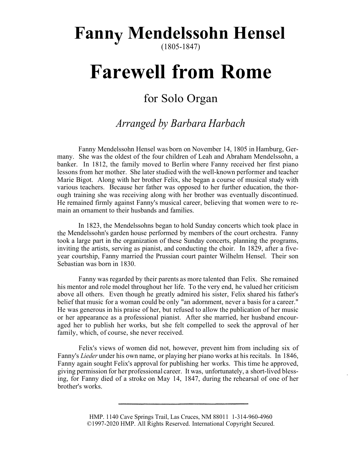## **Fanny Mendelssohn Hensel**

(1805-1847)

# **Farewell from Rome**

### for Solo Organ

#### *Arranged by Barbara Harbach*

Fanny Mendelssohn Hensel was born on November 14, 1805 in Hamburg, Germany. She was the oldest of the four children of Leah and Abraham Mendelssohn, a banker. In 1812, the family moved to Berlin where Fanny received her first piano lessons from her mother. She later studied with the well-known performer and teacher Marie Bigot. Along with her brother Felix, she began a course of musical study with various teachers. Because her father was opposed to her further education, the thorough training she was receiving along with her brother was eventually discontinued. He remained firmly against Fanny's musical career, believing that women were to remain an ornament to their husbands and families.

In 1823, the Mendelssohns began to hold Sunday concerts which took place in the Mendelssohn's garden house performed by members of the court orchestra. Fanny took a large part in the organization of these Sunday concerts, planning the programs, inviting the artists, serving as pianist, and conducting the choir. In 1829, after a fiveyear courtship, Fanny married the Prussian court painter Wilhelm Hensel. Their son Sebastian was born in 1830.

Fanny was regarded by their parents as more talented than Felix. She remained his mentor and role model throughout her life. To the very end, he valued her criticism above all others. Even though he greatly admired his sister, Felix shared his father's belief that music for a woman could be only "an adornment, never a basis for a career." He was generous in his praise of her, but refused to allow the publication of her music or her appearance as a professional pianist. After she married, her husband encouraged her to publish her works, but she felt compelled to seek the approval of her family, which, of course, she never received.

Felix's views of women did not, however, prevent him from including six of Fanny's *Lieder* under his own name, or playing her piano works at his recitals. In 1846, Fanny again sought Felix's approval for publishing her works. This time he approved, giving permission for her professional career. It was, unfortunately, a short-lived blessing, for Fanny died of a stroke on May 14, 1847, during the rehearsal of one of her brother's works.

> HMP. 1140 Cave Springs Trail, Las Cruces, NM 88011 1-314-960-4960 ©1997-2020 HMP. All Rights Reserved. International Copyright Secured.